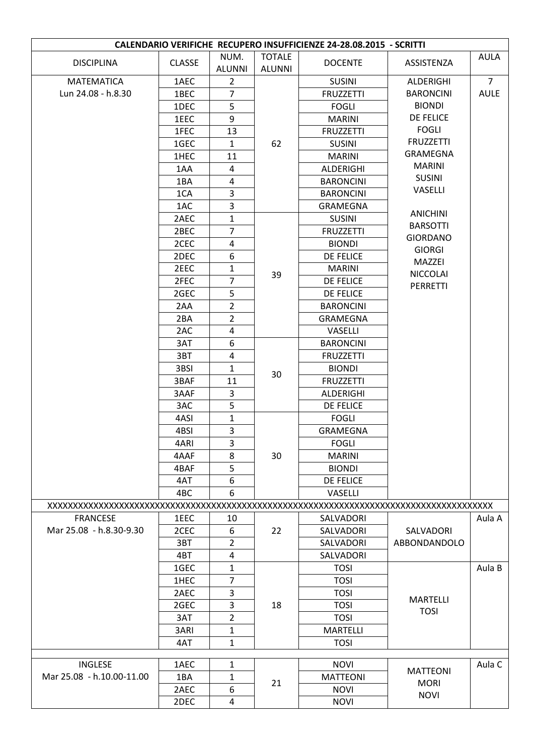| CALENDARIO VERIFICHE RECUPERO INSUFFICIENZE 24-28.08.2015 - SCRITTI |               |                       |                                |                  |                  |                |  |
|---------------------------------------------------------------------|---------------|-----------------------|--------------------------------|------------------|------------------|----------------|--|
| <b>DISCIPLINA</b>                                                   | <b>CLASSE</b> | NUM.<br><b>ALUNNI</b> | <b>TOTALE</b><br><b>ALUNNI</b> | <b>DOCENTE</b>   | ASSISTENZA       | <b>AULA</b>    |  |
| <b>MATEMATICA</b>                                                   | 1AEC          | $\overline{2}$        |                                | <b>SUSINI</b>    | ALDERIGHI        | $\overline{7}$ |  |
| Lun 24.08 - h.8.30                                                  | 1BEC          | $\overline{7}$        |                                | <b>FRUZZETTI</b> | <b>BARONCINI</b> | <b>AULE</b>    |  |
|                                                                     | 1DEC          | 5                     |                                | <b>FOGLI</b>     | <b>BIONDI</b>    |                |  |
|                                                                     | 1EEC          | 9                     |                                | <b>MARINI</b>    | <b>DE FELICE</b> |                |  |
|                                                                     | 1FEC          | 13                    |                                | <b>FRUZZETTI</b> | <b>FOGLI</b>     |                |  |
|                                                                     | 1GEC          | $\mathbf{1}$          | 62                             | <b>SUSINI</b>    | <b>FRUZZETTI</b> |                |  |
|                                                                     | 1HEC          | 11                    |                                | <b>MARINI</b>    | <b>GRAMEGNA</b>  |                |  |
|                                                                     | 1AA           | 4                     |                                | ALDERIGHI        | <b>MARINI</b>    |                |  |
|                                                                     | 1BA           | 4                     |                                | <b>BARONCINI</b> | <b>SUSINI</b>    |                |  |
|                                                                     | 1CA           | 3                     |                                | <b>BARONCINI</b> | VASELLI          |                |  |
|                                                                     | 1AC           | 3                     |                                | <b>GRAMEGNA</b>  | <b>ANICHINI</b>  |                |  |
|                                                                     | 2AEC          | $\mathbf{1}$          |                                | <b>SUSINI</b>    | <b>BARSOTTI</b>  |                |  |
|                                                                     | 2BEC          | $\overline{7}$        |                                | <b>FRUZZETTI</b> | <b>GIORDANO</b>  |                |  |
|                                                                     | 2CEC          | 4                     |                                | <b>BIONDI</b>    | <b>GIORGI</b>    |                |  |
|                                                                     | 2DEC          | 6                     |                                | DE FELICE        | MAZZEI           |                |  |
|                                                                     | 2EEC          | $\mathbf{1}$          | 39                             | <b>MARINI</b>    | <b>NICCOLAI</b>  |                |  |
|                                                                     | 2FEC          | 7                     |                                | DE FELICE        | PERRETTI         |                |  |
|                                                                     | 2GEC          | 5                     |                                | <b>DE FELICE</b> |                  |                |  |
|                                                                     | 2AA           | $\overline{2}$        |                                | <b>BARONCINI</b> |                  |                |  |
|                                                                     | 2BA           | $\overline{2}$        |                                | <b>GRAMEGNA</b>  |                  |                |  |
|                                                                     | 2AC           | 4                     |                                | VASELLI          |                  |                |  |
|                                                                     | 3AT           | 6                     |                                | <b>BARONCINI</b> |                  |                |  |
|                                                                     | 3BT           | 4                     | 30                             | <b>FRUZZETTI</b> |                  |                |  |
|                                                                     | 3BSI          | 1                     |                                | <b>BIONDI</b>    |                  |                |  |
|                                                                     | 3BAF          | 11                    |                                | <b>FRUZZETTI</b> |                  |                |  |
|                                                                     | 3AAF          | 3                     |                                | ALDERIGHI        |                  |                |  |
|                                                                     | 3AC           | 5                     |                                | <b>DE FELICE</b> |                  |                |  |
|                                                                     | 4ASI          | 1                     |                                | <b>FOGLI</b>     |                  |                |  |
|                                                                     | 4BSI          | 3                     |                                | <b>GRAMEGNA</b>  |                  |                |  |
|                                                                     | 4ARI          | 3                     |                                | <b>FOGLI</b>     |                  |                |  |
|                                                                     | 4AAF          | 8                     | 30                             | <b>MARINI</b>    |                  |                |  |
|                                                                     | 4BAF          | 5                     |                                | <b>BIONDI</b>    |                  |                |  |
|                                                                     | 4AT           | 6                     |                                | <b>DE FELICE</b> |                  |                |  |
|                                                                     | 4BC           | 6                     |                                | VASELLI          |                  |                |  |
|                                                                     |               |                       |                                |                  |                  |                |  |
| <b>FRANCESE</b>                                                     | 1EEC          | 10                    |                                | SALVADORI        |                  | Aula A         |  |
| Mar 25.08 - h.8.30-9.30                                             | 2CEC          | 6                     | 22                             | SALVADORI        | SALVADORI        |                |  |
|                                                                     | 3BT           | $\overline{2}$        |                                | SALVADORI        | ABBONDANDOLO     |                |  |
|                                                                     | 4BT           | 4                     |                                | SALVADORI        |                  |                |  |
|                                                                     | 1GEC          | $\mathbf{1}$          |                                | <b>TOSI</b>      |                  | Aula B         |  |
|                                                                     | 1HEC          | $\overline{7}$        |                                | <b>TOSI</b>      |                  |                |  |
|                                                                     | 2AEC          | 3                     |                                | <b>TOSI</b>      | <b>MARTELLI</b>  |                |  |
|                                                                     | 2GEC          | 3                     | 18                             | <b>TOSI</b>      | <b>TOSI</b>      |                |  |
|                                                                     | 3AT           | 2                     |                                | <b>TOSI</b>      |                  |                |  |
|                                                                     | 3ARI          | 1                     |                                | <b>MARTELLI</b>  |                  |                |  |
|                                                                     | 4AT           | $\mathbf{1}$          |                                | <b>TOSI</b>      |                  |                |  |
| <b>INGLESE</b>                                                      | 1AEC          | $\mathbf{1}$          |                                | <b>NOVI</b>      |                  | Aula C         |  |
| Mar 25.08 - h.10.00-11.00                                           | 1BA           | 1                     |                                | <b>MATTEONI</b>  | <b>MATTEONI</b>  |                |  |
|                                                                     | 2AEC          | 6                     | 21                             | <b>NOVI</b>      | <b>MORI</b>      |                |  |
|                                                                     | 2DEC          | 4                     |                                | <b>NOVI</b>      | <b>NOVI</b>      |                |  |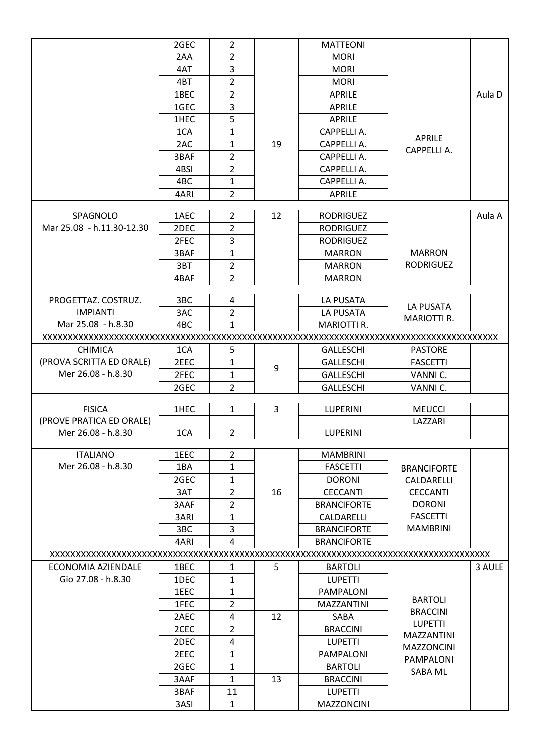|                           | 2GEC            | $\overline{2}$          |    | <b>MATTEONI</b>       |                    |        |
|---------------------------|-----------------|-------------------------|----|-----------------------|--------------------|--------|
|                           | 2AA             | $\overline{2}$          |    | <b>MORI</b>           |                    |        |
|                           | 4AT             | 3                       |    | <b>MORI</b>           |                    |        |
|                           | 4BT             | $\overline{2}$          |    | <b>MORI</b>           |                    |        |
|                           | 1BEC            | $\overline{2}$          |    | <b>APRILE</b>         |                    | Aula D |
|                           | 1GEC            | 3                       |    | APRILE                |                    |        |
|                           |                 | 5                       |    |                       |                    |        |
|                           | 1HEC            |                         |    | APRILE<br>CAPPELLI A. |                    |        |
|                           | 1CA             | 1                       |    |                       | <b>APRILE</b>      |        |
|                           | 2AC             | $\mathbf{1}$            | 19 | CAPPELLI A.           | CAPPELLI A.        |        |
|                           | 3BAF            | $\overline{2}$          |    | CAPPELLI A.           |                    |        |
|                           | 4BSI            | $\overline{2}$          |    | CAPPELLI A.           |                    |        |
|                           | 4BC             | $\mathbf{1}$            |    | CAPPELLI A.           |                    |        |
|                           | 4ARI            | $\overline{2}$          |    | <b>APRILE</b>         |                    |        |
| SPAGNOLO                  | 1AEC            | $\overline{2}$          | 12 | <b>RODRIGUEZ</b>      |                    | Aula A |
| Mar 25.08 - h.11.30-12.30 | 2DEC            | $\overline{2}$          |    | <b>RODRIGUEZ</b>      |                    |        |
|                           | 2FEC            | 3                       |    | <b>RODRIGUEZ</b>      |                    |        |
|                           | 3BAF            | $\mathbf{1}$            |    | <b>MARRON</b>         | <b>MARRON</b>      |        |
|                           | 3BT             | $\overline{2}$          |    | <b>MARRON</b>         | <b>RODRIGUEZ</b>   |        |
|                           | 4BAF            | $\overline{2}$          |    | <b>MARRON</b>         |                    |        |
|                           |                 |                         |    |                       |                    |        |
| PROGETTAZ. COSTRUZ.       | 3 <sub>BC</sub> | 4                       |    | LA PUSATA             |                    |        |
| <b>IMPIANTI</b>           | 3AC             | 2                       |    | LA PUSATA             | LA PUSATA          |        |
| Mar 25.08 - h.8.30        | 4BC             | $\mathbf{1}$            |    | MARIOTTI R.           | <b>MARIOTTI R.</b> |        |
|                           |                 |                         |    |                       |                    |        |
| <b>CHIMICA</b>            | 1CA             | 5                       |    | <b>GALLESCHI</b>      | <b>PASTORE</b>     |        |
| (PROVA SCRITTA ED ORALE)  | 2EEC            | $\mathbf{1}$            |    | <b>GALLESCHI</b>      | <b>FASCETTI</b>    |        |
| Mer 26.08 - h.8.30        | 2FEC            | $\mathbf{1}$            | 9  | <b>GALLESCHI</b>      | VANNI C.           |        |
|                           | 2GEC            | $\overline{2}$          |    | <b>GALLESCHI</b>      | VANNI C.           |        |
|                           |                 |                         |    |                       |                    |        |
| <b>FISICA</b>             | 1HEC            | $\mathbf{1}$            | 3  | LUPERINI              | <b>MEUCCI</b>      |        |
| (PROVE PRATICA ED ORALE)  |                 |                         |    |                       | LAZZARI            |        |
| Mer 26.08 - h.8.30        | 1CA             | $\overline{2}$          |    | <b>LUPERINI</b>       |                    |        |
| <b>ITALIANO</b>           | 1EEC            | $\overline{2}$          |    | <b>MAMBRINI</b>       |                    |        |
| Mer 26.08 - h.8.30        |                 | $\mathbf{1}$            |    |                       |                    |        |
|                           | 1BA             |                         |    | <b>FASCETTI</b>       | <b>BRANCIFORTE</b> |        |
|                           | 2GEC            | $\mathbf{1}$            |    | <b>DORONI</b>         | CALDARELLI         |        |
|                           | 3AT             | $\overline{2}$          | 16 | <b>CECCANTI</b>       | <b>CECCANTI</b>    |        |
|                           | 3AAF            | $\overline{2}$          |    | <b>BRANCIFORTE</b>    | <b>DORONI</b>      |        |
|                           | 3ARI            | $\mathbf{1}$            |    | CALDARELLI            | <b>FASCETTI</b>    |        |
|                           | 3BC             | 3                       |    | <b>BRANCIFORTE</b>    | <b>MAMBRINI</b>    |        |
|                           | 4ARI            | 4                       |    | <b>BRANCIFORTE</b>    |                    |        |
|                           |                 |                         |    |                       |                    |        |
| ECONOMIA AZIENDALE        | 1BEC            | 1                       | 5  | <b>BARTOLI</b>        |                    | 3 AULE |
| Gio 27.08 - h.8.30        | 1DEC            | $\mathbf{1}$            |    | <b>LUPETTI</b>        |                    |        |
|                           | 1EEC            | $\mathbf{1}$            |    | PAMPALONI             | <b>BARTOLI</b>     |        |
|                           | 1FEC            | 2                       |    | <b>MAZZANTINI</b>     | <b>BRACCINI</b>    |        |
|                           | 2AEC            | $\overline{\mathbf{4}}$ | 12 | <b>SABA</b>           | <b>LUPETTI</b>     |        |
|                           | 2CEC            | $\overline{2}$          |    | <b>BRACCINI</b>       | MAZZANTINI         |        |
|                           | 2DEC            | 4                       |    | <b>LUPETTI</b>        | <b>MAZZONCINI</b>  |        |
|                           | 2EEC            | $\mathbf{1}$            |    | PAMPALONI             | PAMPALONI          |        |
|                           | 2GEC            | $\mathbf{1}$            |    | <b>BARTOLI</b>        | SABA ML            |        |
|                           | 3AAF            | $\mathbf{1}$            | 13 | <b>BRACCINI</b>       |                    |        |
|                           | 3BAF            | 11                      |    | <b>LUPETTI</b>        |                    |        |
|                           | 3ASI            | $\mathbf{1}$            |    | <b>MAZZONCINI</b>     |                    |        |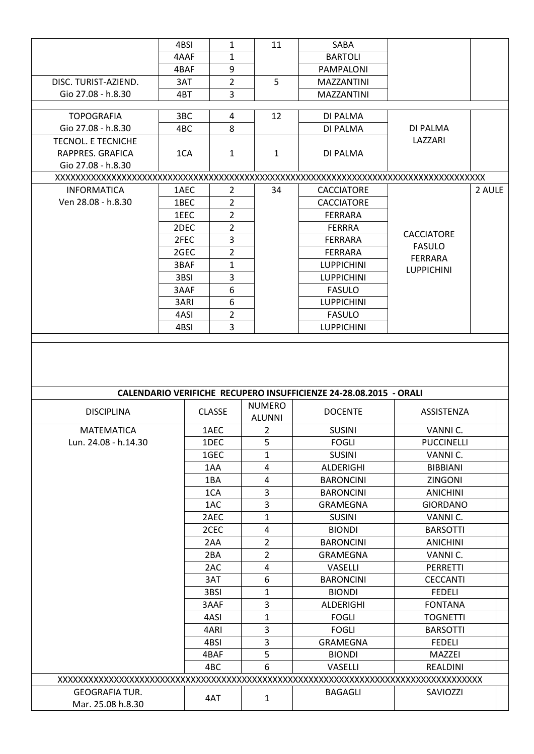|                           | 4BSI | 1              | 11             | SABA                                                                     |                         |        |
|---------------------------|------|----------------|----------------|--------------------------------------------------------------------------|-------------------------|--------|
|                           | 4AAF | 1              |                | <b>BARTOLI</b>                                                           |                         |        |
|                           | 4BAF | 9              |                | <b>PAMPALONI</b>                                                         |                         |        |
| DISC. TURIST-AZIEND.      | 3AT  | $\overline{2}$ | 5              | <b>MAZZANTINI</b>                                                        |                         |        |
| Gio 27.08 - h.8.30        | 4BT  | 3              |                | <b>MAZZANTINI</b>                                                        |                         |        |
|                           |      |                |                |                                                                          |                         |        |
| <b>TOPOGRAFIA</b>         | 3BC  | 4              | 12             | DI PALMA                                                                 |                         |        |
| Gio 27.08 - h.8.30        | 4BC  | 8              |                | DI PALMA                                                                 | DI PALMA                |        |
| <b>TECNOL. E TECNICHE</b> |      |                |                |                                                                          | LAZZARI                 |        |
| RAPPRES. GRAFICA          | 1CA  | $\mathbf{1}$   | $\mathbf{1}$   | DI PALMA                                                                 |                         |        |
| Gio 27.08 - h.8.30        |      |                |                |                                                                          |                         |        |
|                           |      |                |                |                                                                          |                         |        |
| <b>INFORMATICA</b>        | 1AEC | $\overline{2}$ | 34             | <b>CACCIATORE</b>                                                        |                         | 2 AULE |
| Ven 28.08 - h.8.30        | 1BEC | $\overline{2}$ |                | <b>CACCIATORE</b>                                                        |                         |        |
|                           | 1EEC | $\overline{2}$ |                | <b>FERRARA</b>                                                           |                         |        |
|                           | 2DEC | $\overline{2}$ |                | <b>FERRRA</b>                                                            | <b>CACCIATORE</b>       |        |
|                           | 2FEC | 3              |                | <b>FERRARA</b>                                                           | <b>FASULO</b>           |        |
|                           | 2GEC | $\overline{2}$ |                | <b>FERRARA</b>                                                           | <b>FERRARA</b>          |        |
|                           | 3BAF | 1              |                | <b>LUPPICHINI</b>                                                        | <b>LUPPICHINI</b>       |        |
|                           | 3BSI | 3              |                | <b>LUPPICHINI</b>                                                        |                         |        |
|                           | 3AAF | 6              |                | <b>FASULO</b>                                                            |                         |        |
|                           | 3ARI | 6              |                | <b>LUPPICHINI</b>                                                        |                         |        |
|                           | 4ASI | 2              |                | <b>FASULO</b>                                                            |                         |        |
|                           | 4BSI | 3              |                | <b>LUPPICHINI</b>                                                        |                         |        |
|                           |      |                | <b>NUMERO</b>  | <b>CALENDARIO VERIFICHE RECUPERO INSUFFICIENZE 24-28.08.2015 - ORALI</b> |                         |        |
| <b>DISCIPLINA</b>         |      | <b>CLASSE</b>  | <b>ALUNNI</b>  | <b>DOCENTE</b>                                                           | ASSISTENZA              |        |
| <b>MATEMATICA</b>         |      | 1AEC           | $\overline{2}$ | <b>SUSINI</b>                                                            | VANNI C.                |        |
| Lun. 24.08 - h.14.30      |      | 1DEC           | 5              | <b>FOGLI</b>                                                             | <b>PUCCINELLI</b>       |        |
|                           |      | 1GEC           | 1              |                                                                          |                         |        |
|                           |      | 1AA            | $\overline{4}$ | <b>SUSINI</b>                                                            | VANNI C.                |        |
|                           |      | 1BA            |                | ALDERIGHI                                                                | <b>BIBBIANI</b>         |        |
|                           |      |                | 4              | <b>BARONCINI</b>                                                         | <b>ZINGONI</b>          |        |
|                           |      | 1CA            | $\overline{3}$ | <b>BARONCINI</b>                                                         | <b>ANICHINI</b>         |        |
|                           |      | 1AC            | $\overline{3}$ | <b>GRAMEGNA</b>                                                          | <b>GIORDANO</b>         |        |
|                           |      | 2AEC           | $\mathbf{1}$   | <b>SUSINI</b>                                                            | VANNI C.                |        |
|                           |      | 2CEC           | $\overline{4}$ | <b>BIONDI</b>                                                            | <b>BARSOTTI</b>         |        |
|                           |      | 2AA            | $\overline{2}$ | <b>BARONCINI</b>                                                         | <b>ANICHINI</b>         |        |
|                           |      | 2BA            | $\overline{2}$ | <b>GRAMEGNA</b>                                                          | VANNI C.                |        |
|                           |      | 2AC            | 4              | <b>VASELLI</b>                                                           | PERRETTI                |        |
|                           |      | 3AT            | 6              | <b>BARONCINI</b>                                                         | <b>CECCANTI</b>         |        |
|                           |      | 3BSI           | $\mathbf{1}$   | <b>BIONDI</b>                                                            | <b>FEDELI</b>           |        |
|                           |      | 3AAF           | 3              | ALDERIGHI                                                                | <b>FONTANA</b>          |        |
|                           |      | 4ASI           | $\mathbf{1}$   | <b>FOGLI</b>                                                             | <b>TOGNETTI</b>         |        |
|                           |      | 4ARI           | 3              | <b>FOGLI</b>                                                             | <b>BARSOTTI</b>         |        |
|                           |      | 4BSI<br>4BAF   | 3<br>5         | <b>GRAMEGNA</b><br><b>BIONDI</b>                                         | <b>FEDELI</b><br>MAZZEI |        |
|                           |      | 4BC            | 6              | VASELLI                                                                  | REALDINI                |        |
|                           |      |                |                |                                                                          |                         |        |
| <b>GEOGRAFIA TUR.</b>     |      | 4AT            | $\mathbf{1}$   | <b>BAGAGLI</b>                                                           | SAVIOZZI                |        |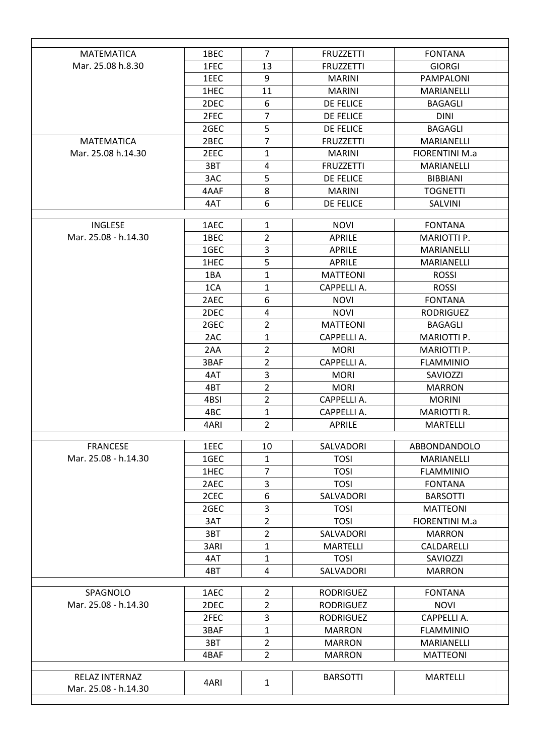| <b>MATEMATICA</b>    | 1BEC            | $\overline{7}$ | <b>FRUZZETTI</b> | <b>FONTANA</b>                                                                                                                                                                                                               |
|----------------------|-----------------|----------------|------------------|------------------------------------------------------------------------------------------------------------------------------------------------------------------------------------------------------------------------------|
| Mar. 25.08 h.8.30    | 1FEC            | 13             | <b>FRUZZETTI</b> | <b>GIORGI</b>                                                                                                                                                                                                                |
|                      | 1EEC            | 9              | <b>MARINI</b>    | PAMPALONI                                                                                                                                                                                                                    |
|                      | 1HEC            | 11             | <b>MARINI</b>    | <b>MARIANFLLI</b>                                                                                                                                                                                                            |
|                      | 2DEC            | 6              | <b>DE FELICE</b> | <b>BAGAGLI</b>                                                                                                                                                                                                               |
|                      | 2FEC            | $\overline{7}$ | <b>DE FELICE</b> | <b>DINI</b>                                                                                                                                                                                                                  |
|                      | 2GEC            | 5              | DE FELICE        | <b>BAGAGLI</b>                                                                                                                                                                                                               |
| <b>MATEMATICA</b>    | 2BEC            | 7              | <b>FRUZZETTI</b> | <b>MARIANELLI</b>                                                                                                                                                                                                            |
| Mar. 25.08 h.14.30   | 2EEC            | 1              | <b>MARINI</b>    | <b>FIORENTINI M.a</b>                                                                                                                                                                                                        |
|                      | 3BT             | 4              | <b>FRUZZETTI</b> | <b>MARIANELLI</b>                                                                                                                                                                                                            |
|                      | 3AC             | 5              | <b>DE FELICE</b> | <b>BIBBIANI</b>                                                                                                                                                                                                              |
|                      | 4AAF            | 8              | <b>MARINI</b>    | <b>TOGNETTI</b>                                                                                                                                                                                                              |
|                      | 4AT             | 6              | DE FELICE        | SALVINI                                                                                                                                                                                                                      |
| <b>INGLESE</b>       | 1AEC            | 1              | <b>NOVI</b>      | <b>FONTANA</b>                                                                                                                                                                                                               |
| Mar. 25.08 - h.14.30 | 1BEC            | $\overline{2}$ | <b>APRILE</b>    | <b>MARIOTTI P.</b>                                                                                                                                                                                                           |
|                      | 1GEC            | 3              | <b>APRILE</b>    | MARIANELLI                                                                                                                                                                                                                   |
|                      | 1HEC            | 5              | <b>APRILE</b>    | <b>MARIANELLI</b>                                                                                                                                                                                                            |
|                      | 1BA             | 1              | <b>MATTEONI</b>  | <b>ROSSI</b>                                                                                                                                                                                                                 |
|                      | 1CA             | 1              | CAPPELLI A.      | <b>ROSSI</b>                                                                                                                                                                                                                 |
|                      | 2AEC            | 6              | <b>NOVI</b>      | <b>FONTANA</b>                                                                                                                                                                                                               |
|                      | 2DEC            | 4              | <b>NOVI</b>      | <b>RODRIGUEZ</b>                                                                                                                                                                                                             |
|                      | 2GEC            | $\overline{2}$ | <b>MATTEONI</b>  | <b>BAGAGLI</b>                                                                                                                                                                                                               |
|                      | 2AC             | 1              | CAPPELLI A.      | MARIOTTI P.                                                                                                                                                                                                                  |
|                      | 2AA             | $\overline{2}$ | <b>MORI</b>      | <b>MARIOTTI P.</b>                                                                                                                                                                                                           |
|                      | 3BAF            | $\overline{2}$ | CAPPELLI A.      | <b>FLAMMINIO</b>                                                                                                                                                                                                             |
|                      | 4AT             | 3              | <b>MORI</b>      | <b>SAVIOZZI</b>                                                                                                                                                                                                              |
|                      | 4BT             | $\overline{2}$ | <b>MORI</b>      | <b>MARRON</b>                                                                                                                                                                                                                |
|                      | 4BSI            | $\overline{2}$ | CAPPELLI A.      | <b>MORINI</b>                                                                                                                                                                                                                |
|                      | 4 <sub>BC</sub> | 1              | CAPPELLI A.      | <b>MARIOTTI R.</b>                                                                                                                                                                                                           |
|                      | 4ARI            | $\overline{2}$ | <b>APRILE</b>    | <b>MARTELLI</b>                                                                                                                                                                                                              |
| <b>FRANCESE</b>      | 1EEC            | 10             | SALVADORI        | ABBONDANDOLO                                                                                                                                                                                                                 |
| Mar. 25.08 - h.14.30 | 1GEC            | 1              | <b>TOSI</b>      | <b>MARIANELLI</b>                                                                                                                                                                                                            |
|                      | 1HEC            | 7              | <b>TOSI</b>      | <b>FLAMMINIO</b>                                                                                                                                                                                                             |
|                      | 2AEC            | 3              | <b>TOSI</b>      | <b>FONTANA</b>                                                                                                                                                                                                               |
|                      | 2CEC            | 6              | SALVADORI        |                                                                                                                                                                                                                              |
|                      | 2GEC            | 3              | <b>TOSI</b>      | <b>BARSOTTI</b><br><b>MATTEONI</b><br><b>FIORENTINI M.a</b><br><b>MARRON</b><br>CALDARELLI<br>SAVIOZZI<br><b>MARRON</b><br><b>FONTANA</b><br><b>NOVI</b><br>CAPPELLI A.<br><b>FLAMMINIO</b><br>MARIANELLI<br><b>MATTEONI</b> |
|                      | 3AT             | $\overline{2}$ | <b>TOSI</b>      |                                                                                                                                                                                                                              |
|                      | 3BT             | $\overline{2}$ | SALVADORI        |                                                                                                                                                                                                                              |
|                      | 3ARI            | 1              | <b>MARTELLI</b>  |                                                                                                                                                                                                                              |
|                      | 4AT             | 1              | <b>TOSI</b>      |                                                                                                                                                                                                                              |
|                      | 4BT             | 4              | SALVADORI        |                                                                                                                                                                                                                              |
| SPAGNOLO             | 1AEC            | $\overline{2}$ | <b>RODRIGUEZ</b> |                                                                                                                                                                                                                              |
| Mar. 25.08 - h.14.30 | 2DEC            | $\overline{2}$ | <b>RODRIGUEZ</b> |                                                                                                                                                                                                                              |
|                      | 2FEC            | 3              | <b>RODRIGUEZ</b> |                                                                                                                                                                                                                              |
|                      | 3BAF            | $\mathbf{1}$   | <b>MARRON</b>    |                                                                                                                                                                                                                              |
|                      | 3BT             | 2              | <b>MARRON</b>    |                                                                                                                                                                                                                              |
|                      | 4BAF            | $2^{\circ}$    | <b>MARRON</b>    |                                                                                                                                                                                                                              |
|                      |                 |                |                  |                                                                                                                                                                                                                              |
| RELAZ INTERNAZ       | 4ARI            | $\mathbf{1}$   | <b>BARSOTTI</b>  | <b>MARTELLI</b>                                                                                                                                                                                                              |
| Mar. 25.08 - h.14.30 |                 |                |                  |                                                                                                                                                                                                                              |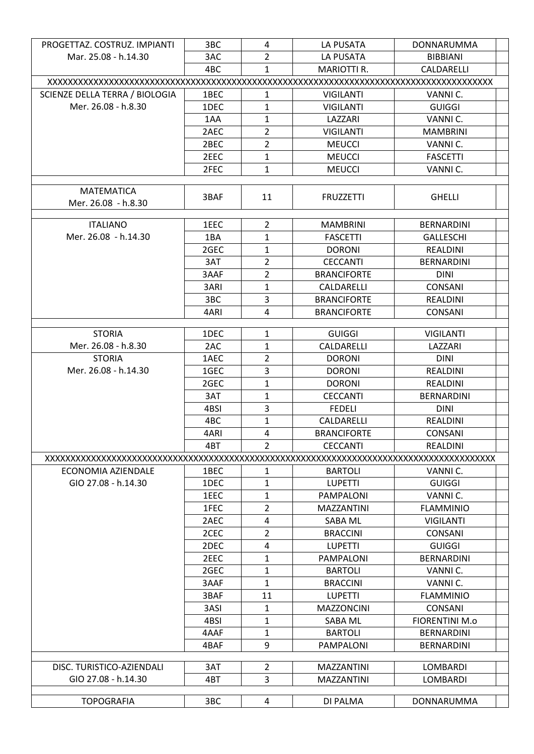| PROGETTAZ. COSTRUZ. IMPIANTI   | 3BC  | 4              | LA PUSATA          | DONNARUMMA            |  |  |  |  |
|--------------------------------|------|----------------|--------------------|-----------------------|--|--|--|--|
| Mar. 25.08 - h.14.30           | 3AC  | $\overline{2}$ | LA PUSATA          | <b>BIBBIANI</b>       |  |  |  |  |
|                                | 4BC  | $\mathbf{1}$   | <b>MARIOTTI R.</b> | CALDARELLI            |  |  |  |  |
|                                |      |                |                    |                       |  |  |  |  |
| SCIENZE DELLA TERRA / BIOLOGIA | 1BEC | $\mathbf{1}$   | <b>VIGILANTI</b>   | VANNI C.              |  |  |  |  |
| Mer. 26.08 - h.8.30            | 1DEC | $\mathbf{1}$   | <b>VIGILANTI</b>   | <b>GUIGGI</b>         |  |  |  |  |
|                                | 1AA  | 1              | LAZZARI            | VANNI C.              |  |  |  |  |
|                                | 2AEC | $\overline{2}$ | <b>VIGILANTI</b>   | <b>MAMBRINI</b>       |  |  |  |  |
|                                | 2BEC | $\overline{2}$ | <b>MEUCCI</b>      | VANNI C.              |  |  |  |  |
|                                | 2EEC | $\mathbf{1}$   | <b>MEUCCI</b>      | <b>FASCETTI</b>       |  |  |  |  |
|                                | 2FEC | $\mathbf{1}$   | <b>MEUCCI</b>      | VANNI C.              |  |  |  |  |
|                                |      |                |                    |                       |  |  |  |  |
| <b>MATEMATICA</b>              | 3BAF | 11             | <b>FRUZZETTI</b>   | <b>GHELLI</b>         |  |  |  |  |
| Mer. 26.08 - h.8.30            |      |                |                    |                       |  |  |  |  |
| <b>ITALIANO</b>                |      | $\overline{2}$ |                    | <b>BERNARDINI</b>     |  |  |  |  |
| Mer. 26.08 - h.14.30           | 1EEC | $\mathbf{1}$   | <b>MAMBRINI</b>    |                       |  |  |  |  |
|                                | 1BA  |                | <b>FASCETTI</b>    | <b>GALLESCHI</b>      |  |  |  |  |
|                                | 2GEC | $\mathbf{1}$   | <b>DORONI</b>      | <b>REALDINI</b>       |  |  |  |  |
|                                | 3AT  | $\overline{2}$ | <b>CECCANTI</b>    | <b>BERNARDINI</b>     |  |  |  |  |
|                                | 3AAF | $\overline{2}$ | <b>BRANCIFORTE</b> | <b>DINI</b>           |  |  |  |  |
|                                | 3ARI | $\mathbf{1}$   | CALDARELLI         | <b>CONSANI</b>        |  |  |  |  |
|                                | 3BC  | $\overline{3}$ | <b>BRANCIFORTE</b> | REALDINI              |  |  |  |  |
|                                | 4ARI | $\overline{4}$ | <b>BRANCIFORTE</b> | <b>CONSANI</b>        |  |  |  |  |
| <b>STORIA</b>                  | 1DEC | 1              | <b>GUIGGI</b>      | <b>VIGILANTI</b>      |  |  |  |  |
| Mer. 26.08 - h.8.30            | 2AC  | $\mathbf{1}$   | CALDARELLI         | LAZZARI               |  |  |  |  |
| <b>STORIA</b>                  | 1AEC | $\overline{2}$ | <b>DORONI</b>      | <b>DINI</b>           |  |  |  |  |
| Mer. 26.08 - h.14.30           | 1GEC | 3              | <b>DORONI</b>      | REALDINI              |  |  |  |  |
|                                | 2GEC | $\mathbf{1}$   | <b>DORONI</b>      | REALDINI              |  |  |  |  |
|                                | 3AT  | $\mathbf{1}$   | <b>CECCANTI</b>    | <b>BERNARDINI</b>     |  |  |  |  |
|                                | 4BSI | 3              | <b>FEDELI</b>      | <b>DINI</b>           |  |  |  |  |
|                                | 4BC  | 1              | CALDARELLI         | REALDINI              |  |  |  |  |
|                                | 4ARI | 4              | <b>BRANCIFORTE</b> | <b>CONSANI</b>        |  |  |  |  |
|                                | 4BT  | $\overline{2}$ | <b>CECCANTI</b>    | <b>REALDINI</b>       |  |  |  |  |
|                                |      |                |                    |                       |  |  |  |  |
| ECONOMIA AZIENDALE             | 1BEC | 1              | <b>BARTOLI</b>     | VANNI C.              |  |  |  |  |
| GIO 27.08 - h.14.30            | 1DEC | $\mathbf{1}$   | <b>LUPETTI</b>     | <b>GUIGGI</b>         |  |  |  |  |
|                                | 1EEC | 1              | <b>PAMPALONI</b>   | VANNI C.              |  |  |  |  |
|                                | 1FEC | $\overline{2}$ | <b>MAZZANTINI</b>  | <b>FLAMMINIO</b>      |  |  |  |  |
|                                | 2AEC | 4              | SABA ML            | <b>VIGILANTI</b>      |  |  |  |  |
|                                | 2CEC | $\overline{2}$ | <b>BRACCINI</b>    | <b>CONSANI</b>        |  |  |  |  |
|                                | 2DEC | 4              | <b>LUPETTI</b>     | <b>GUIGGI</b>         |  |  |  |  |
|                                | 2EEC | $\mathbf{1}$   | <b>PAMPALONI</b>   | <b>BERNARDINI</b>     |  |  |  |  |
|                                | 2GEC | 1              | <b>BARTOLI</b>     | VANNI C.              |  |  |  |  |
|                                | 3AAF | 1              | <b>BRACCINI</b>    | VANNI C.              |  |  |  |  |
|                                | 3BAF | 11             | <b>LUPETTI</b>     | <b>FLAMMINIO</b>      |  |  |  |  |
|                                | 3ASI | 1              | <b>MAZZONCINI</b>  | <b>CONSANI</b>        |  |  |  |  |
|                                | 4BSI | $\mathbf{1}$   | SABA ML            | <b>FIORENTINI M.o</b> |  |  |  |  |
|                                | 4AAF | 1              | <b>BARTOLI</b>     | <b>BERNARDINI</b>     |  |  |  |  |
|                                | 4BAF | 9              | PAMPALONI          | <b>BERNARDINI</b>     |  |  |  |  |
|                                |      |                |                    |                       |  |  |  |  |
| DISC. TURISTICO-AZIENDALI      | 3AT  | 2              | <b>MAZZANTINI</b>  | <b>LOMBARDI</b>       |  |  |  |  |
| GIO 27.08 - h.14.30            | 4BT  | 3              | <b>MAZZANTINI</b>  | LOMBARDI              |  |  |  |  |
|                                |      |                |                    |                       |  |  |  |  |
| <b>TOPOGRAFIA</b>              | 3BC  | 4              | DI PALMA           | <b>DONNARUMMA</b>     |  |  |  |  |